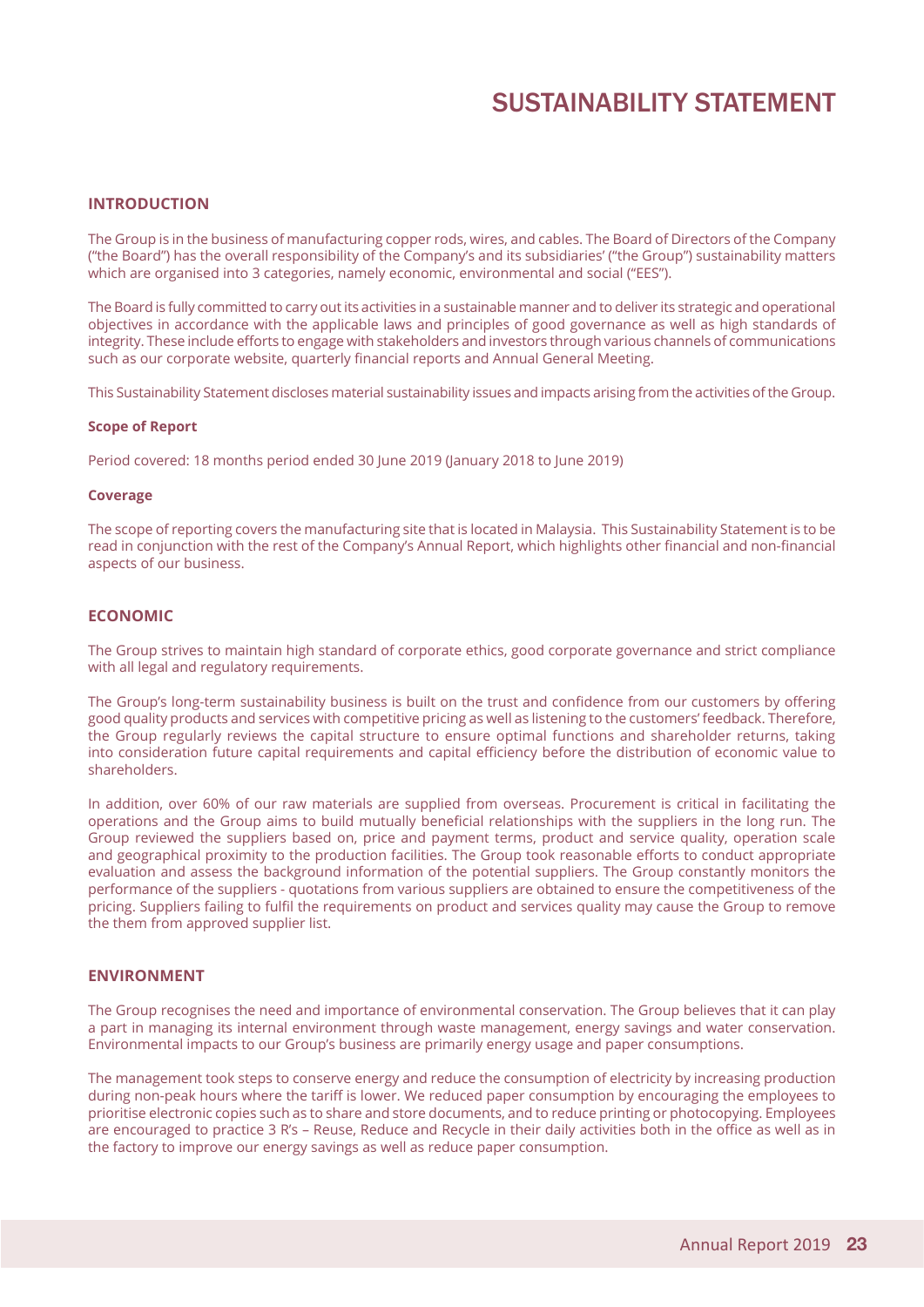# SUSTAINABILITY STATEMENT

#### **Introduction**

The Group is in the business of manufacturing copper rods, wires, and cables. The Board of Directors of the Company ("the Board") has the overall responsibility of the Company's and its subsidiaries' ("the Group") sustainability matters which are organised into 3 categories, namely economic, environmental and social ("EES").

The Board is fully committed to carry out its activities in a sustainable manner and to deliver its strategic and operational objectives in accordance with the applicable laws and principles of good governance as well as high standards of integrity. These include efforts to engage with stakeholders and investors through various channels of communications such as our corporate website, quarterly financial reports and Annual General Meeting.

This Sustainability Statement discloses material sustainability issues and impacts arising from the activities of the Group.

#### **Scope of Report**

Period covered: 18 months period ended 30 June 2019 (January 2018 to June 2019)

#### **Coverage**

The scope of reporting covers the manufacturing site that is located in Malaysia. This Sustainability Statement is to be read in conjunction with the rest of the Company's Annual Report, which highlights other financial and non-financial aspects of our business.

#### **Economic**

The Group strives to maintain high standard of corporate ethics, good corporate governance and strict compliance with all legal and regulatory requirements.

The Group's long-term sustainability business is built on the trust and confidence from our customers by offering good quality products and services with competitive pricing as well as listening to the customers' feedback. Therefore, the Group regularly reviews the capital structure to ensure optimal functions and shareholder returns, taking into consideration future capital requirements and capital efficiency before the distribution of economic value to shareholders.

In addition, over 60% of our raw materials are supplied from overseas. Procurement is critical in facilitating the operations and the Group aims to build mutually beneficial relationships with the suppliers in the long run. The Group reviewed the suppliers based on, price and payment terms, product and service quality, operation scale and geographical proximity to the production facilities. The Group took reasonable efforts to conduct appropriate evaluation and assess the background information of the potential suppliers. The Group constantly monitors the performance of the suppliers - quotations from various suppliers are obtained to ensure the competitiveness of the pricing. Suppliers failing to fulfil the requirements on product and services quality may cause the Group to remove the them from approved supplier list.

#### **Environment**

The Group recognises the need and importance of environmental conservation. The Group believes that it can play a part in managing its internal environment through waste management, energy savings and water conservation. Environmental impacts to our Group's business are primarily energy usage and paper consumptions.

The management took steps to conserve energy and reduce the consumption of electricity by increasing production during non-peak hours where the tariff is lower. We reduced paper consumption by encouraging the employees to prioritise electronic copies such as to share and store documents, and to reduce printing or photocopying. Employees are encouraged to practice 3 R's – Reuse, Reduce and Recycle in their daily activities both in the office as well as in the factory to improve our energy savings as well as reduce paper consumption.